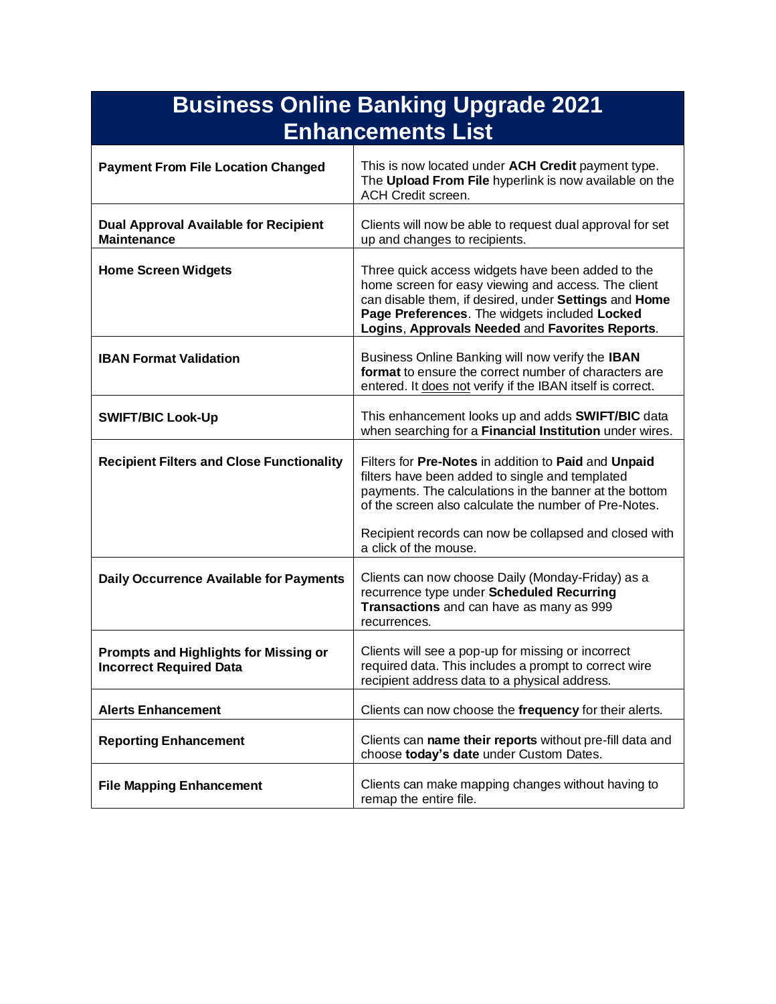|                                                                         | <b>Business Online Banking Upgrade 2021</b>                                                                                                                                                                                                                           |
|-------------------------------------------------------------------------|-----------------------------------------------------------------------------------------------------------------------------------------------------------------------------------------------------------------------------------------------------------------------|
|                                                                         | <b>Enhancements List</b>                                                                                                                                                                                                                                              |
| <b>Payment From File Location Changed</b>                               | This is now located under ACH Credit payment type.<br>The Upload From File hyperlink is now available on the<br><b>ACH Credit screen.</b>                                                                                                                             |
| <b>Dual Approval Available for Recipient</b><br><b>Maintenance</b>      | Clients will now be able to request dual approval for set<br>up and changes to recipients.                                                                                                                                                                            |
| <b>Home Screen Widgets</b>                                              | Three quick access widgets have been added to the<br>home screen for easy viewing and access. The client<br>can disable them, if desired, under Settings and Home<br>Page Preferences. The widgets included Locked<br>Logins, Approvals Needed and Favorites Reports. |
| <b>IBAN Format Validation</b>                                           | Business Online Banking will now verify the IBAN<br>format to ensure the correct number of characters are<br>entered. It does not verify if the IBAN itself is correct.                                                                                               |
| <b>SWIFT/BIC Look-Up</b>                                                | This enhancement looks up and adds <b>SWIFT/BIC</b> data<br>when searching for a Financial Institution under wires.                                                                                                                                                   |
| <b>Recipient Filters and Close Functionality</b>                        | Filters for Pre-Notes in addition to Paid and Unpaid<br>filters have been added to single and templated<br>payments. The calculations in the banner at the bottom<br>of the screen also calculate the number of Pre-Notes.                                            |
|                                                                         | Recipient records can now be collapsed and closed with<br>a click of the mouse.                                                                                                                                                                                       |
| <b>Daily Occurrence Available for Payments</b>                          | Clients can now choose Daily (Monday-Friday) as a<br>recurrence type under Scheduled Recurring<br>Transactions and can have as many as 999<br>recurrences.                                                                                                            |
| Prompts and Highlights for Missing or<br><b>Incorrect Required Data</b> | Clients will see a pop-up for missing or incorrect<br>required data. This includes a prompt to correct wire<br>recipient address data to a physical address.                                                                                                          |
| <b>Alerts Enhancement</b>                                               | Clients can now choose the frequency for their alerts.                                                                                                                                                                                                                |
| <b>Reporting Enhancement</b>                                            | Clients can name their reports without pre-fill data and<br>choose today's date under Custom Dates.                                                                                                                                                                   |
| <b>File Mapping Enhancement</b>                                         | Clients can make mapping changes without having to<br>remap the entire file.                                                                                                                                                                                          |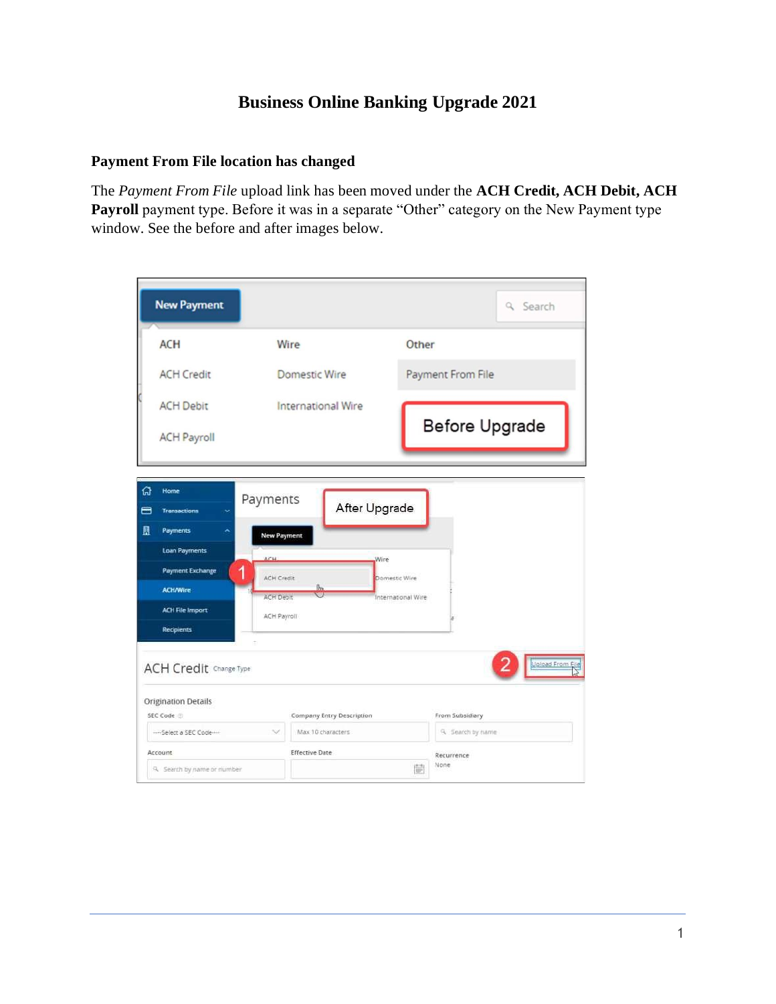# **Business Online Banking Upgrade 2021**

#### **Payment From File location has changed**

The *Payment From File* upload link has been moved under the **ACH Credit, ACH Debit, ACH** Payroll payment type. Before it was in a separate "Other" category on the New Payment type window. See the before and after images below.

|        | <b>New Payment</b>                                 |                        |                                                |                   |                       | Q Search         |
|--------|----------------------------------------------------|------------------------|------------------------------------------------|-------------------|-----------------------|------------------|
|        | <b>ACH</b>                                         |                        | Wire                                           | Other             |                       |                  |
|        | <b>ACH Credit</b>                                  |                        | Domestic Wire                                  |                   | Payment From File     |                  |
|        | <b>ACH Debit</b>                                   |                        | <b>International Wire</b>                      |                   |                       |                  |
|        | <b>ACH Payroll</b>                                 |                        |                                                |                   | <b>Before Upgrade</b> |                  |
|        |                                                    |                        |                                                |                   |                       |                  |
| 份<br>合 | Home<br><b>Transactions</b>                        | Payments               | After Upgrade                                  |                   |                       |                  |
| 且      | Payments                                           | New Payment            |                                                |                   |                       |                  |
|        | Loan Payments                                      | ACH                    | Wire                                           |                   |                       |                  |
|        | <b>Payment Exchange</b>                            | 1<br><b>ACH Credit</b> |                                                | Domestic Wire     |                       |                  |
|        | <b>ACH/Wire</b>                                    | <b>ACH Debit</b>       | fb <sub>n</sub>                                | nternational Wire |                       |                  |
|        | <b>ACH File Import</b>                             | ACH Payroll            |                                                |                   |                       |                  |
|        | <b>Recipients</b><br><b>ACH Credit Change Type</b> |                        |                                                |                   |                       | Upload From File |
|        | <b>Origination Details</b>                         |                        |                                                |                   |                       |                  |
|        | SEC Code                                           | 1GV                    | Company Entry Description<br>Max 10 characters |                   | From Subsidiary       |                  |
|        | --- Select a SEC Code ---                          |                        |                                                |                   | 9. Search by hame     |                  |
|        | Account<br>9. Search by name or number             |                        | <b>Effective Date</b>                          | 髓                 | Recurrence<br>None    |                  |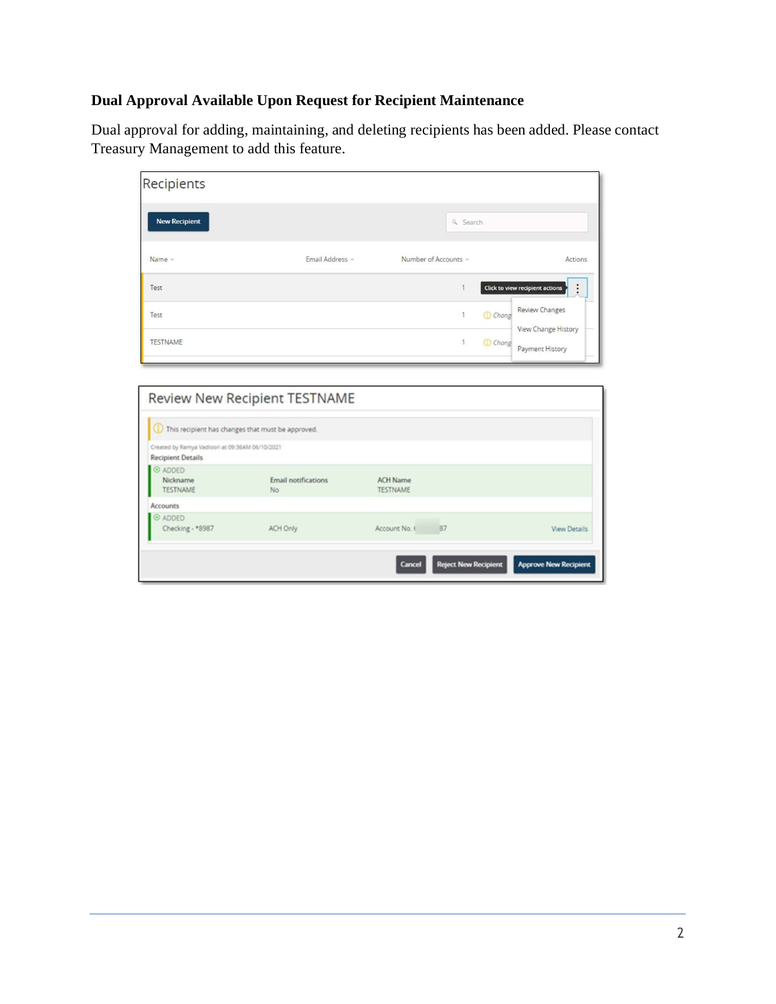# **Dual Approval Available Upon Request for Recipient Maintenance**

Dual approval for adding, maintaining, and deleting recipients has been added. Please contact Treasury Management to add this feature.

| Recipients           |                 |                      |                                                              |
|----------------------|-----------------|----------------------|--------------------------------------------------------------|
| <b>New Recipient</b> |                 | Q Search             |                                                              |
| Name -               | Email Address - | Number of Accounts - | Actions                                                      |
| Test                 |                 | и                    | Click to view recipient actions                              |
| Test                 |                 |                      | <b>Review Changes</b><br><b>Chang</b><br>View Change History |
| <b>TESTNAME</b>      |                 | 1                    | <b>Chang</b><br>Payment History                              |

|                                                                             | Review New Recipient TESTNAME     |                                       |                              |
|-----------------------------------------------------------------------------|-----------------------------------|---------------------------------------|------------------------------|
| (1) This recipient has changes that must be approved.                       |                                   |                                       |                              |
| Created by Ramya Vadioori at 09:36AM 06/10/2021<br><b>Recipient Details</b> |                                   |                                       |                              |
| © ADDED<br>Nickname<br><b>TESTNAME</b>                                      | <b>Email notifications</b><br>No. | <b>ACH Name</b><br><b>TESTNAME</b>    |                              |
| Accounts                                                                    |                                   |                                       |                              |
| © ADDED<br>Checking - *8987                                                 | <b>ACH Only</b>                   | 87<br>Account No. 1                   | <b>View Details</b>          |
|                                                                             |                                   | <b>Reject New Recipient</b><br>Cancel | <b>Approve New Recipient</b> |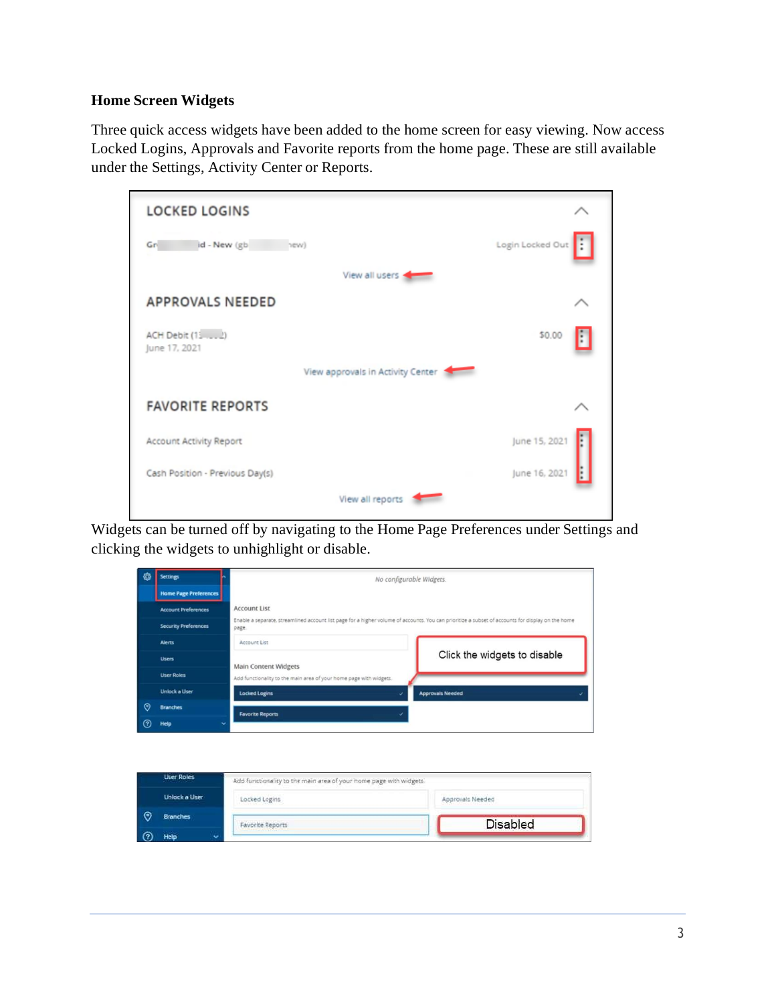# **Home Screen Widgets**

Three quick access widgets have been added to the home screen for easy viewing. Now access Locked Logins, Approvals and Favorite reports from the home page. These are still available under the Settings, Activity Center or Reports.

| <b>LOCKED LOGINS</b>              |                       |
|-----------------------------------|-----------------------|
| id - New (gb)<br>Gn<br>hew)       | Login Locked Out<br>÷ |
| View all users                    |                       |
| <b>APPROVALS NEEDED</b>           |                       |
| June 17, 2021                     | \$0.00                |
| View approvals in Activity Center |                       |
| <b>FAVORITE REPORTS</b>           |                       |
| Account Activity Report           | June 15, 2021         |
| Cash Position - Previous Day(s)   | June 16, 2021         |
| View all reports                  |                       |

Widgets can be turned off by navigating to the Home Page Preferences under Settings and clicking the widgets to unhighlight or disable.

| ₩       | <b>Settings</b>              | No configurable Widgets.                                                                                                                                   |
|---------|------------------------------|------------------------------------------------------------------------------------------------------------------------------------------------------------|
|         | <b>Home Page Preferences</b> |                                                                                                                                                            |
|         | <b>Account Preferences</b>   | <b>Account List</b>                                                                                                                                        |
|         | <b>Security Preferences</b>  | Enable a separate, streamlined account list page for a higher volume of accounts. You can prioritize a subset of accounts for display on the home<br>page. |
|         | <b>Alerts</b>                | Account List                                                                                                                                               |
|         | <b>Users</b>                 | Click the widgets to disable<br><b>Main Content Widgets</b>                                                                                                |
|         | <b>User Roles</b>            | Add functionality to the main area of your home page with widgets.                                                                                         |
|         | <b>Unlock a User</b>         | <b>Locked Logins</b><br><b>Approvals Needed</b>                                                                                                            |
| $\odot$ | <b>Branches</b>              | <b>Favorite Reports</b>                                                                                                                                    |
| ര       | Help<br>$\checkmark$         |                                                                                                                                                            |

| <b>User Roles</b>   | Add functionality to the main area of your home page with widgets. |                  |
|---------------------|--------------------------------------------------------------------|------------------|
| Unlock a User       | Locked Logins                                                      | Approvals Needed |
| <b>Branches</b>     | Favorite Reports                                                   | <b>Disabled</b>  |
| <b>Help</b><br>تمنه |                                                                    |                  |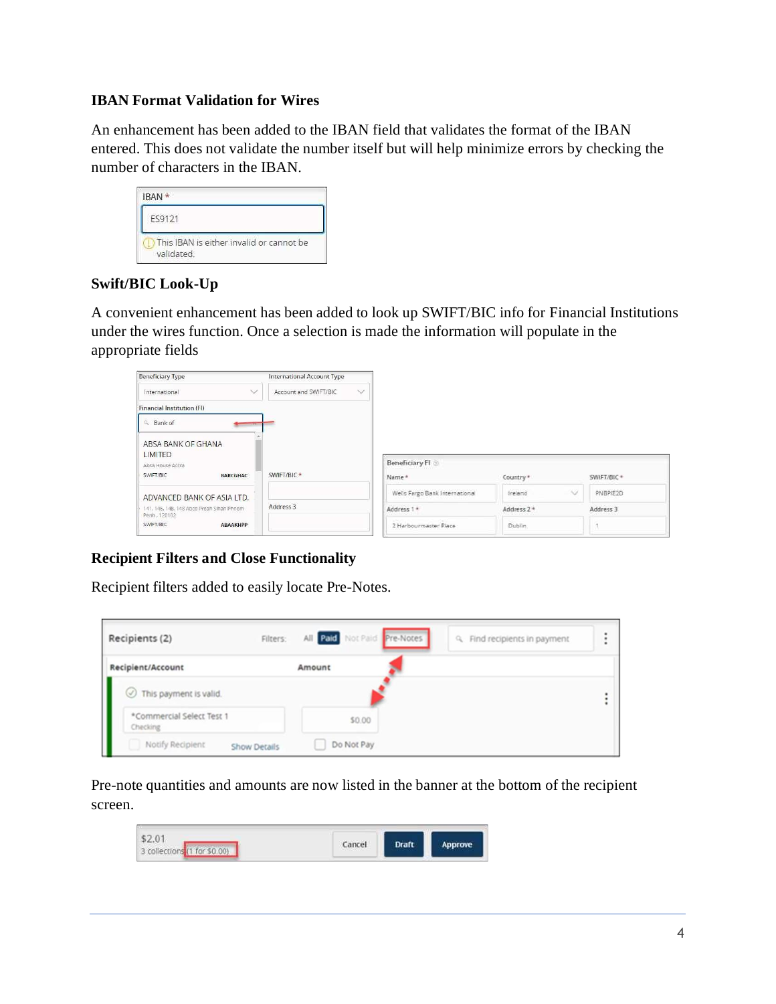#### **IBAN Format Validation for Wires**

An enhancement has been added to the IBAN field that validates the format of the IBAN entered. This does not validate the number itself but will help minimize errors by checking the number of characters in the IBAN.

| IBAN *                                                 |  |
|--------------------------------------------------------|--|
| ES9121                                                 |  |
| This IBAN is either invalid or cannot be<br>validated. |  |

## **Swift/BIC Look-Up**

A convenient enhancement has been added to look up SWIFT/BIC info for Financial Institutions under the wires function. Once a selection is made the information will populate in the appropriate fields

| <b>Beneficiary Type</b>                                   | International Account Type      |                                |              |             |
|-----------------------------------------------------------|---------------------------------|--------------------------------|--------------|-------------|
| $\checkmark$<br>International                             | $\vee$<br>Account and SWIFT/BIC |                                |              |             |
| Financial Institution (FI)                                |                                 |                                |              |             |
| <sup>Q</sup> Bank of<br>$\overline{a}$                    |                                 |                                |              |             |
| ABSA BANK OF GHANA                                        |                                 |                                |              |             |
|                                                           |                                 |                                |              |             |
| LIMITED                                                   |                                 |                                |              |             |
| Absa House Accra                                          |                                 | Beneficiary FI                 |              |             |
| SWIFT/BIC<br><b>BARCGHAC</b>                              | SWIFT/BIC <sup>*</sup>          | Name*                          | Country *    | SWIFT/BIC * |
| ADVANCED BANK OF ASIA LTD.                                |                                 | Wells Fargo Bank International | Ireland<br>× | PNBPIE2D    |
| 141, 146, 148, 148 Abcd Preah Sihan Phnom<br>Penh. 120102 | Address 3                       | Address 1 *                    | Address 2*   | Address 3   |

# **Recipient Filters and Close Functionality**

Recipient filters added to easily locate Pre-Notes.

| Recipients (2)                          | All Paid Not Paid Pre-Notes<br>Filters:<br>Q. Find recipients in payment | ٠<br>٠<br>٠ |
|-----------------------------------------|--------------------------------------------------------------------------|-------------|
| Recipient/Account                       | Amount                                                                   |             |
| $\oslash$ This payment is valid.        |                                                                          |             |
| *Commercial Select Test 1<br>Checking   | \$0.00                                                                   |             |
| Notify Recipient<br><b>Show Details</b> | Do Not Pay                                                               |             |

Pre-note quantities and amounts are now listed in the banner at the bottom of the recipient screen.

| Cancel<br>collections (1 for \$0.00) | Draft | prove |
|--------------------------------------|-------|-------|
|--------------------------------------|-------|-------|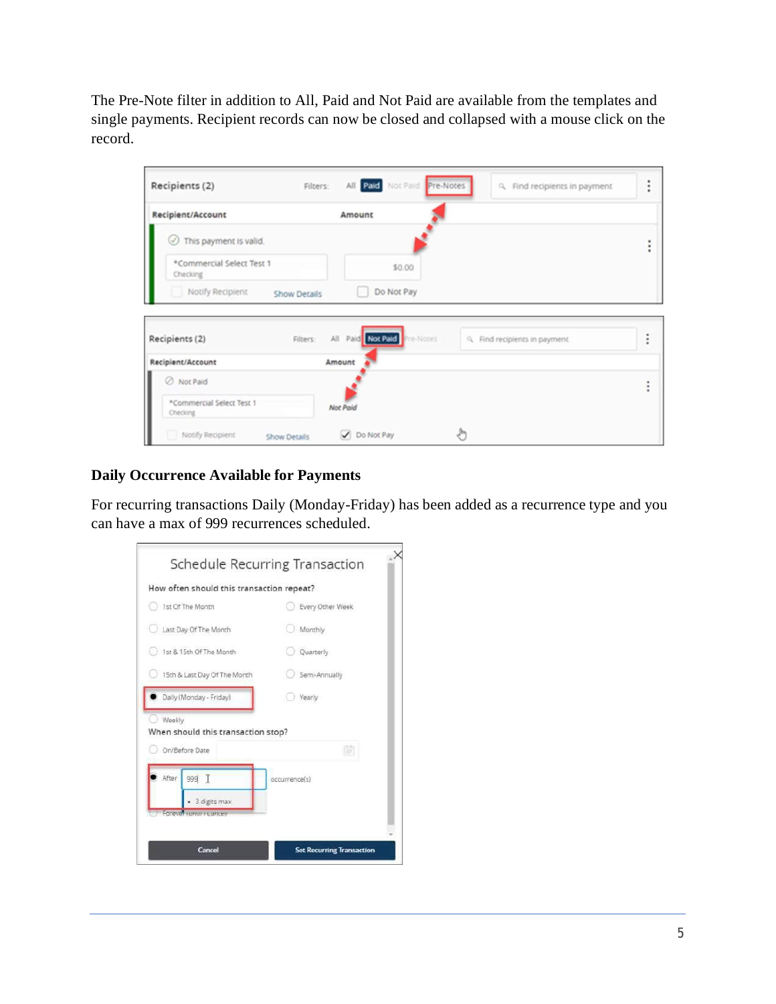The Pre-Note filter in addition to All, Paid and Not Paid are available from the templates and single payments. Recipient records can now be closed and collapsed with a mouse click on the record.

| Recipients (2)<br>Filters:            | All Paid Not Paid Pre-Notes    | Q Find recipients in payment  | ٠<br>٠<br>٠ |
|---------------------------------------|--------------------------------|-------------------------------|-------------|
| Recipient/Account                     | Amount                         |                               |             |
| This payment is valid.                |                                |                               |             |
| *Commercial Select Test 1<br>Checking | \$0.00                         |                               |             |
| Notify Recipient                      | Do Not Pay                     |                               |             |
| <b>Show Details</b>                   |                                |                               |             |
|                                       |                                |                               |             |
| Recipients (2)<br>Filters:            | Paid Not Paid Pre-Notes<br>All | Q. Find recipients in payment | ٠<br>٠      |
| Recipient/Account                     | Amount                         |                               |             |
| O Not Paid                            |                                |                               |             |
| *Commercial Select Test 1<br>Checking | Not Paid                       |                               |             |

# **Daily Occurrence Available for Payments**

For recurring transactions Daily (Monday-Friday) has been added as a recurrence type and you can have a max of 999 recurrences scheduled.

|                                               | Schedule Recurring Transaction |  |  |
|-----------------------------------------------|--------------------------------|--|--|
| How often should this transaction repeat?     |                                |  |  |
| 1st Of The Month                              | Every Other Week               |  |  |
| Last Day Of The Month                         | Monthly                        |  |  |
| 1st & 15th Of The Month                       | Quarterly                      |  |  |
| 15th & Last Day Of The Month                  | Semi-Annually                  |  |  |
| Daily (Monday - Friday)                       | Yearly                         |  |  |
| Weekly.<br>When should this transaction stop? |                                |  |  |
| On/Before Date                                | i.                             |  |  |
| After<br>999 T                                | occurrence(s)                  |  |  |
| 3 digits max                                  |                                |  |  |
| Forever commit concern                        |                                |  |  |
|                                               |                                |  |  |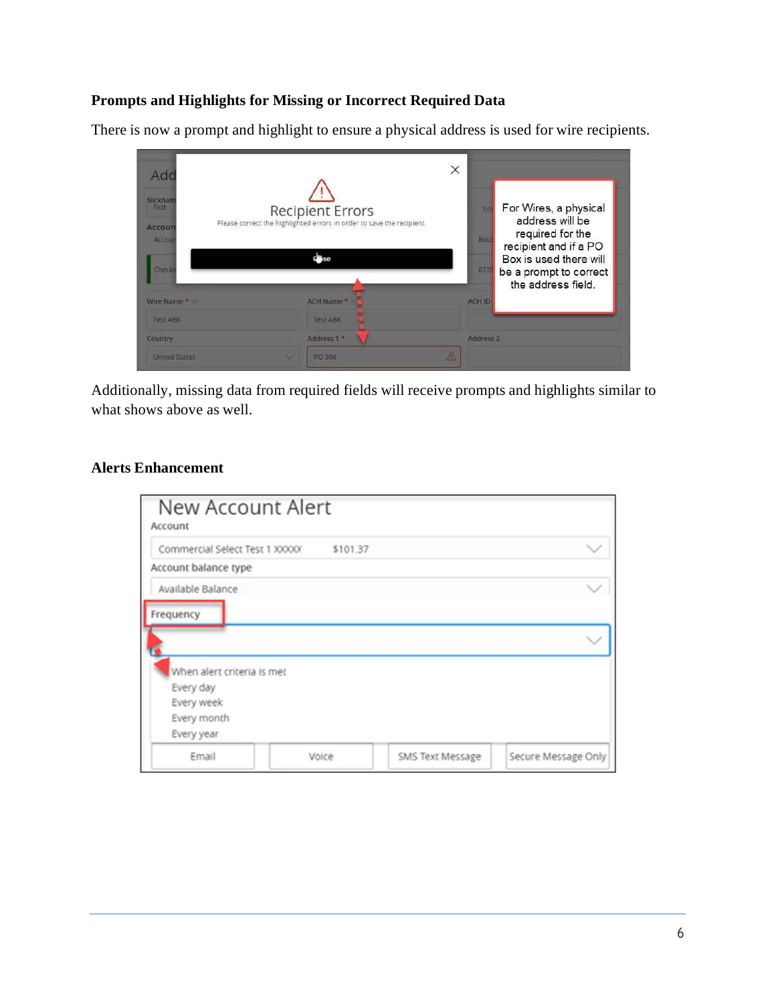### **Prompts and Highlights for Missing or Incorrect Required Data**

There is now a prompt and highlight to ensure a physical address is used for wire recipients.



Additionally, missing data from required fields will receive prompts and highlights similar to what shows above as well.

#### **Alerts Enhancement**

| <b>New Account Alert</b><br>Account |          |                  |                     |
|-------------------------------------|----------|------------------|---------------------|
| Commercial Select Test 1 XXXXX      | \$101.37 |                  |                     |
| Account balance type                |          |                  |                     |
| Available Balance                   |          |                  |                     |
| Frequency                           |          |                  |                     |
| When alert criteria is met          |          |                  |                     |
| Every day                           |          |                  |                     |
| Every week                          |          |                  |                     |
| Every month                         |          |                  |                     |
| Every year                          |          |                  |                     |
| Email                               | Voice    | SMS Text Message | Secure Message Only |